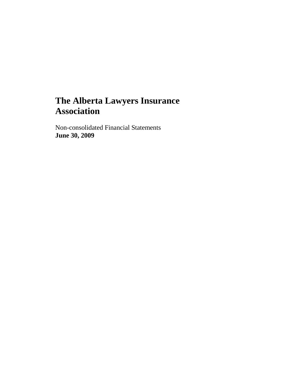# **The Alberta Lawyers Insurance Association**

Non-consolidated Financial Statements **June 30, 2009**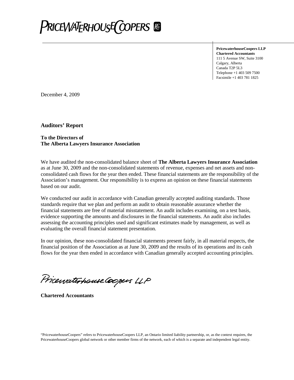

**PricewaterhouseCoopers LLP Chartered Accountants** 111 5 Avenue SW, Suite 3100 Calgary, Alberta Canada T2P 5L3 Telephone +1 403 509 7500 Facsimile +1 403 781 1825

December 4, 2009

**Auditors' Report**

#### **To the Directors of The Alberta Lawyers Insurance Association**

We have audited the non-consolidated balance sheet of **The Alberta Lawyers Insurance Association** as at June 30, 2009 and the non-consolidated statements of revenue, expenses and net assets and nonconsolidated cash flows for the year then ended. These financial statements are the responsibility of the Association's management. Our responsibility is to express an opinion on these financial statements based on our audit.

We conducted our audit in accordance with Canadian generally accepted auditing standards. Those standards require that we plan and perform an audit to obtain reasonable assurance whether the financial statements are free of material misstatement. An audit includes examining, on a test basis, evidence supporting the amounts and disclosures in the financial statements. An audit also includes assessing the accounting principles used and significant estimates made by management, as well as evaluating the overall financial statement presentation.

In our opinion, these non-consolidated financial statements present fairly, in all material respects, the financial position of the Association as at June 30, 2009 and the results of its operations and its cash flows for the year then ended in accordance with Canadian generally accepted accounting principles.

Pricewaterhouse Coopers LLP

**Chartered Accountants**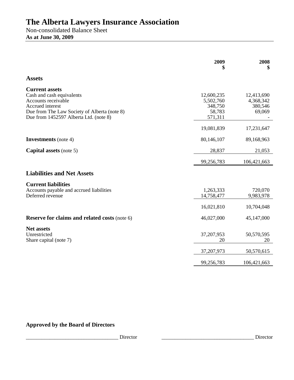# **The Alberta Lawyers Insurance Association**

Non-consolidated Balance Sheet **As at June 30, 2009**

|                                                                                                                                                                                         | 2009                                                    | 2008<br>\$                                   |
|-----------------------------------------------------------------------------------------------------------------------------------------------------------------------------------------|---------------------------------------------------------|----------------------------------------------|
| <b>Assets</b>                                                                                                                                                                           |                                                         |                                              |
| <b>Current assets</b><br>Cash and cash equivalents<br>Accounts receivable<br>Accrued interest<br>Due from The Law Society of Alberta (note 8)<br>Due from 1452597 Alberta Ltd. (note 8) | 12,600,235<br>5,502,760<br>348,750<br>58,783<br>571,311 | 12,413,690<br>4,368,342<br>380,546<br>69,069 |
|                                                                                                                                                                                         | 19,081,839                                              | 17,231,647                                   |
| <b>Investments</b> (note 4)                                                                                                                                                             | 80,146,107                                              | 89,168,963                                   |
| <b>Capital assets</b> (note 5)                                                                                                                                                          | 28,837                                                  | 21,053                                       |
|                                                                                                                                                                                         | 99,256,783                                              | 106,421,663                                  |
| <b>Liabilities and Net Assets</b>                                                                                                                                                       |                                                         |                                              |
| <b>Current liabilities</b><br>Accounts payable and accrued liabilities<br>Deferred revenue                                                                                              | 1,263,333<br>14,758,477                                 | 720,070<br>9,983,978                         |
|                                                                                                                                                                                         | 16,021,810                                              | 10,704,048                                   |
| <b>Reserve for claims and related costs (note 6)</b>                                                                                                                                    | 46,027,000                                              | 45,147,000                                   |
| <b>Net assets</b><br>Unrestricted<br>Share capital (note 7)                                                                                                                             | 37,207,953<br>20                                        | 50,570,595<br>20                             |
|                                                                                                                                                                                         | 37,207,973                                              | 50,570,615                                   |
|                                                                                                                                                                                         | 99,256,783                                              | 106,421,663                                  |

# **Approved by the Board of Directors**

\_\_\_\_\_\_\_\_\_\_\_\_\_\_\_\_\_\_\_\_\_\_\_\_\_\_\_\_\_\_\_\_\_\_\_ Director \_\_\_\_\_\_\_\_\_\_\_\_\_\_\_\_\_\_\_\_\_\_\_\_\_\_\_\_\_\_\_\_\_\_\_ Director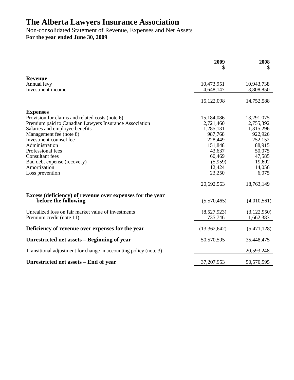# **The Alberta Lawyers Insurance Association**

Non-consolidated Statement of Revenue, Expenses and Net Assets **For the year ended June 30, 2009**

|                                                                  | 2009<br>S    | 2008<br>\$  |
|------------------------------------------------------------------|--------------|-------------|
| <b>Revenue</b>                                                   |              |             |
| Annual levy                                                      | 10,473,951   | 10,943,738  |
| Investment income                                                | 4,648,147    | 3,808,850   |
|                                                                  | 15,122,098   | 14,752,588  |
| <b>Expenses</b>                                                  |              |             |
| Provision for claims and related costs (note 6)                  | 15,184,086   | 13,291,075  |
| Premium paid to Canadian Lawyers Insurance Association           | 2,721,460    | 2,755,392   |
| Salaries and employee benefits                                   | 1,285,131    | 1,315,296   |
| Management fee (note 8)                                          | 987,768      | 922,926     |
| Investment counsel fee                                           | 228,449      | 252,152     |
| Administration                                                   | 151,848      | 88,915      |
| Professional fees                                                | 43,637       | 50,075      |
| <b>Consultant</b> fees                                           | 60,469       | 47,585      |
| Bad debt expense (recovery)                                      | (5,959)      | 19,602      |
| Amortization                                                     | 12,424       | 14,056      |
| Loss prevention                                                  | 23,250       | 6,075       |
|                                                                  | 20,692,563   | 18,763,149  |
| Excess (deficiency) of revenue over expenses for the year        |              |             |
| before the following                                             | (5,570,465)  | (4,010,561) |
| Unrealized loss on fair market value of investments              | (8,527,923)  | (3,122,950) |
| Premium credit (note 11)                                         | 735,746      | 1,662,383   |
| Deficiency of revenue over expenses for the year                 | (13,362,642) | (5,471,128) |
| Unrestricted net assets – Beginning of year                      | 50,570,595   | 35,448,475  |
| Transitional adjustment for change in accounting policy (note 3) |              | 20,593,248  |
| Unrestricted net assets – End of year                            | 37, 207, 953 | 50,570,595  |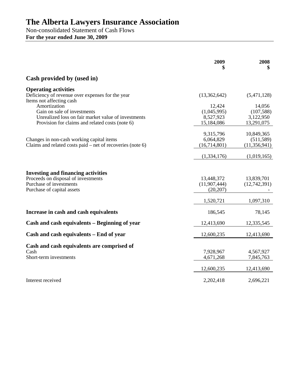# **The Alberta Lawyers Insurance Association**

Non-consolidated Statement of Cash Flows **For the year ended June 30, 2009**

|                                                                                                                                                                                   | 2009                                             | 2008<br>\$                                      |
|-----------------------------------------------------------------------------------------------------------------------------------------------------------------------------------|--------------------------------------------------|-------------------------------------------------|
| Cash provided by (used in)                                                                                                                                                        |                                                  |                                                 |
| <b>Operating activities</b><br>Deficiency of revenue over expenses for the year                                                                                                   | (13,362,642)                                     | (5,471,128)                                     |
| Items not affecting cash<br>Amortization<br>Gain on sale of investments<br>Unrealized loss on fair market value of investments<br>Provision for claims and related costs (note 6) | 12,424<br>(1,045,995)<br>8,527,923<br>15,184,086 | 14,056<br>(107, 588)<br>3,122,950<br>13,291,075 |
| Changes in non-cash working capital items<br>Claims and related costs paid $-$ net of recoveries (note 6)                                                                         | 9,315,796<br>6,064,829<br>(16,714,801)           | 10,849,365<br>(511, 589)<br>(11, 356, 941)      |
|                                                                                                                                                                                   | (1,334,176)                                      | (1,019,165)                                     |
| <b>Investing and financing activities</b><br>Proceeds on disposal of investments<br>Purchase of investments<br>Purchase of capital assets                                         | 13,448,372<br>(11,907,444)<br>(20, 207)          | 13,839,701<br>(12,742,391)                      |
|                                                                                                                                                                                   | 1,520,721                                        | 1,097,310                                       |
| Increase in cash and cash equivalents                                                                                                                                             | 186,545                                          | 78,145                                          |
| Cash and cash equivalents – Beginning of year                                                                                                                                     | 12,413,690                                       | 12,335,545                                      |
| Cash and cash equivalents – End of year                                                                                                                                           | 12,600,235                                       | 12,413,690                                      |
| Cash and cash equivalents are comprised of<br>Cash<br>Short-term investments                                                                                                      | 7,928,967<br>4,671,268                           | 4,567,927<br>7,845,763                          |
|                                                                                                                                                                                   | 12,600,235                                       | 12,413,690                                      |
| Interest received                                                                                                                                                                 | 2,202,418                                        | 2,696,221                                       |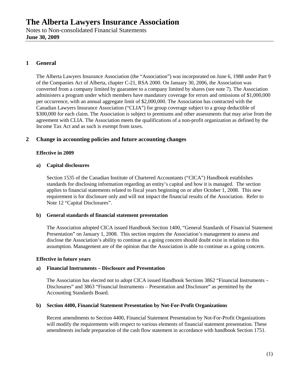# **1 General**

The Alberta Lawyers Insurance Association (the "Association") was incorporated on June 6, 1988 under Part 9 of the Companies Act of Alberta, chapter C-21, RSA 2000. On January 30, 2006, the Association was converted from a company limited by guarantee to a company limited by shares (see note 7). The Association administers a program under which members have mandatory coverage for errors and omissions of \$1,000,000 per occurrence, with an annual aggregate limit of \$2,000,000. The Association has contracted with the Canadian Lawyers Insurance Association ("CLIA") for group coverage subject to a group deductible of \$300,000 for each claim. The Association is subject to premiums and other assessments that may arise from the agreement with CLIA. The Association meets the qualifications of a non-profit organization as defined by the Income Tax Act and as such is exempt from taxes.

## **2 Change in accounting policies and future accounting changes**

#### **Effective in 2009**

#### **a) Capital disclosures**

Section 1535 of the Canadian Institute of Chartered Accountants ("CICA") Handbook establishes standards for disclosing information regarding an entity's capital and how it is managed. The section applies to financial statements related to fiscal years beginning on or after October 1, 2008. This new requirement is for disclosure only and will not impact the financial results of the Association. Refer to Note 12 "Capital Disclosures".

#### **b) General standards of financial statement presentation**

The Association adopted CICA issued Handbook Section 1400, "General Standards of Financial Statement Presentation" on January 1, 2008. This section requires the Association's management to assess and disclose the Association's ability to continue as a going concern should doubt exist in relation to this assumption. Management are of the opinion that the Association is able to continue as a going concern.

#### **Effective in future years**

#### **a) Financial Instruments – Disclosure and Presentation**

The Association has elected not to adopt CICA issued Handbook Sections 3862 "Financial Instruments – Disclosures" and 3863 "Financial Instruments – Presentation and Disclosure" as permitted by the Accounting Standards Board.

#### **b) Section 4400, Financial Statement Presentation by Not-For-Profit Organizations**

Recent amendments to Section 4400, Financial Statement Presentation by Not-For-Profit Organizations will modify the requirements with respect to various elements of financial statement presentation. These amendments include preparation of the cash flow statement in accordance with handbook Section 1751.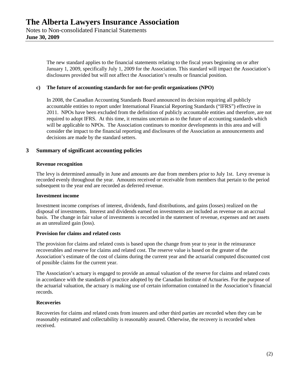The new standard applies to the financial statements relating to the fiscal years beginning on or after January 1, 2009, specifically July 1, 2009 for the Association. This standard will impact the Association's disclosures provided but will not affect the Association's results or financial position.

#### **c) The future of accounting standards for not-for-profit organizations (NPO)**

In 2008, the Canadian Accounting Standards Board announced its decision requiring all publicly accountable entities to report under International Financial Reporting Standards ("IFRS") effective in 2011. NPOs have been excluded from the definition of publicly accountable entities and therefore, are not required to adopt IFRS. At this time, it remains uncertain as to the future of accounting standards which will be applicable to NPOs. The Association continues to monitor developments in this area and will consider the impact to the financial reporting and disclosures of the Association as announcements and decisions are made by the standard setters.

## **3 Summary of significant accounting policies**

#### **Revenue recognition**

The levy is determined annually in June and amounts are due from members prior to July 1st. Levy revenue is recorded evenly throughout the year. Amounts received or receivable from members that pertain to the period subsequent to the year end are recorded as deferred revenue.

#### **Investment income**

Investment income comprises of interest, dividends, fund distributions, and gains (losses) realized on the disposal of investments. Interest and dividends earned on investments are included as revenue on an accrual basis. The change in fair value of investments is recorded in the statement of revenue, expenses and net assets as an unrealized gain (loss).

#### **Provision for claims and related costs**

The provision for claims and related costs is based upon the change from year to year in the reinsurance recoverables and reserve for claims and related cost. The reserve value is based on the greater of the Association's estimate of the cost of claims during the current year and the actuarial computed discounted cost of possible claims for the current year.

The Association's actuary is engaged to provide an annual valuation of the reserve for claims and related costs in accordance with the standards of practice adopted by the Canadian Institute of Actuaries. For the purpose of the actuarial valuation, the actuary is making use of certain information contained in the Association's financial records.

#### **Recoveries**

Recoveries for claims and related costs from insurers and other third parties are recorded when they can be reasonably estimated and collectability is reasonably assured. Otherwise, the recovery is recorded when received.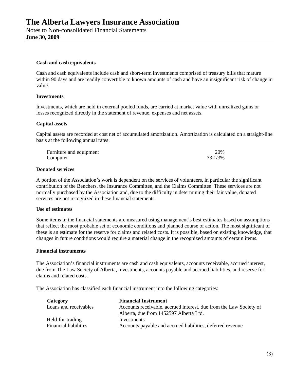#### **Cash and cash equivalents**

Cash and cash equivalents include cash and short-term investments comprised of treasury bills that mature within 90 days and are readily convertible to known amounts of cash and have an insignificant risk of change in value.

#### **Investments**

Investments, which are held in external pooled funds, are carried at market value with unrealized gains or losses recognized directly in the statement of revenue, expenses and net assets.

#### **Capital assets**

Capital assets are recorded at cost net of accumulated amortization. Amortization is calculated on a straight-line basis at the following annual rates:

| Furniture and equipment | 20%     |
|-------------------------|---------|
| Computer                | 33 1/3% |

#### **Donated services**

A portion of the Association's work is dependent on the services of volunteers, in particular the significant contribution of the Benchers, the Insurance Committee, and the Claims Committee. These services are not normally purchased by the Association and, due to the difficulty in determining their fair value, donated services are not recognized in these financial statements.

#### **Use of estimates**

Some items in the financial statements are measured using management's best estimates based on assumptions that reflect the most probable set of economic conditions and planned course of action. The most significant of these is an estimate for the reserve for claims and related costs. It is possible, based on existing knowledge, that changes in future conditions would require a material change in the recognized amounts of certain items.

#### **Financial instruments**

The Association's financial instruments are cash and cash equivalents, accounts receivable, accrued interest, due from The Law Society of Alberta, investments, accounts payable and accrued liabilities, and reserve for claims and related costs.

The Association has classified each financial instrument into the following categories:

| Category                     | <b>Financial Instrument</b>                                        |
|------------------------------|--------------------------------------------------------------------|
| Loans and receivables        | Accounts receivable, accrued interest, due from the Law Society of |
|                              | Alberta, due from 1452597 Alberta Ltd.                             |
| Held-for-trading             | Investments                                                        |
| <b>Financial liabilities</b> | Accounts payable and accrued liabilities, deferred revenue         |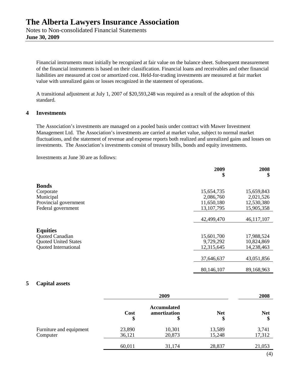Financial instruments must initially be recognized at fair value on the balance sheet. Subsequent measurement of the financial instruments is based on their classification. Financial loans and receivables and other financial liabilities are measured at cost or amortized cost. Held-for-trading investments are measured at fair market value with unrealized gains or losses recognized in the statement of operations.

A transitional adjustment at July 1, 2007 of \$20,593,248 was required as a result of the adoption of this standard.

#### **4 Investments**

The Association's investments are managed on a pooled basis under contract with Mawer Investment Management Ltd. The Association's investments are carried at market value, subject to normal market fluctuations, and the statement of revenue and expense reports both realized and unrealized gains and losses on investments. The Association's investments consist of treasury bills, bonds and equity investments.

Investments at June 30 are as follows:

|                             | 2009<br>\$ | 2008<br>\$ |
|-----------------------------|------------|------------|
| <b>Bonds</b>                |            |            |
| Corporate                   | 15,654,735 | 15,659,843 |
| Municipal                   | 2,086,760  | 2,021,526  |
| Provincial government       | 11,650,180 | 12,530,380 |
| Federal government          | 13,107,795 | 15,905,358 |
|                             |            |            |
|                             | 42,499,470 | 46,117,107 |
|                             |            |            |
| <b>Equities</b>             |            |            |
| Quoted Canadian             | 15,601,700 | 17,988,524 |
| <b>Quoted United States</b> | 9,729,292  | 10,824,869 |
| <b>Quoted International</b> | 12,315,645 | 14,238,463 |
|                             |            |            |
|                             | 37,646,637 | 43,051,856 |
|                             |            |            |
|                             | 80,146,107 | 89,168,963 |

#### **5 Capital assets**

|                                     | 2009             |                                          |                  | 2008            |
|-------------------------------------|------------------|------------------------------------------|------------------|-----------------|
|                                     | Cost<br>\$       | <b>Accumulated</b><br>amortization<br>\$ | <b>Net</b><br>\$ | <b>Net</b>      |
| Furniture and equipment<br>Computer | 23,890<br>36,121 | 10,301<br>20,873                         | 13,589<br>15,248 | 3,741<br>17,312 |
|                                     | 60,011           | 31,174                                   | 28,837           | 21,053          |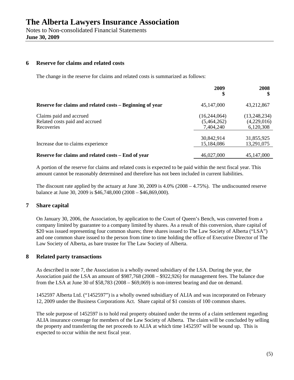Notes to Non-consolidated Financial Statements **June 30, 2009**

# **6 Reserve for claims and related costs**

The change in the reserve for claims and related costs is summarized as follows:

|                                                                         | 2009                                     | 2008                                     |
|-------------------------------------------------------------------------|------------------------------------------|------------------------------------------|
| Reserve for claims and related costs – Beginning of year                | 45,147,000                               | 43,212,867                               |
| Claims paid and accrued<br>Related costs paid and accrued<br>Recoveries | (16,244,064)<br>(5,464,262)<br>7,404,240 | (13,248,234)<br>(4,229,016)<br>6,120,308 |
| Increase due to claims experience                                       | 30,842,914<br>15,184,086                 | 31,855,925<br>13,291,075                 |
| Reserve for claims and related costs - End of year                      | 46,027,000                               | 45,147,000                               |

A portion of the reserve for claims and related costs is expected to be paid within the next fiscal year. This amount cannot be reasonably determined and therefore has not been included in current liabilities.

The discount rate applied by the actuary at June 30, 2009 is 4.0% (2008 – 4.75%). The undiscounted reserve balance at June 30, 2009 is \$46,748,000 (2008 – \$46,869,000).

## **7 Share capital**

On January 30, 2006, the Association, by application to the Court of Queen's Bench, was converted from a company limited by guarantee to a company limited by shares. As a result of this conversion, share capital of \$20 was issued representing four common shares; three shares issued to The Law Society of Alberta ("LSA") and one common share issued to the person from time to time holding the office of Executive Director of The Law Society of Alberta, as bare trustee for The Law Society of Alberta.

#### **8 Related party transactions**

As described in note 7, the Association is a wholly owned subsidiary of the LSA. During the year, the Association paid the LSA an amount of \$987,768 (2008 – \$922,926) for management fees. The balance due from the LSA at June 30 of \$58,783 (2008 – \$69,069) is non-interest bearing and due on demand.

1452597 Alberta Ltd. ("1452597") is a wholly owned subsidiary of ALIA and was incorporated on February 12, 2009 under the Business Corporations Act. Share capital of \$1 consists of 100 common shares.

The sole purpose of 1452597 is to hold real property obtained under the terms of a claim settlement regarding ALIA insurance coverage for members of the Law Society of Alberta. The claim will be concluded by selling the property and transferring the net proceeds to ALIA at which time 1452597 will be wound up. This is expected to occur within the next fiscal year.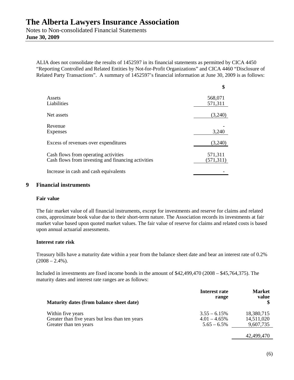Notes to Non-consolidated Financial Statements **June 30, 2009**

ALIA does not consolidate the results of 1452597 in its financial statements as permitted by CICA 4450 "Reporting Controlled and Related Entities by Not-for-Profit Organizations" and CICA 4460 "Disclosure of Related Party Transactions". A summary of 1452597's financial information at June 30, 2009 is as follows:

|                                                    | \$        |
|----------------------------------------------------|-----------|
| Assets                                             | 568,071   |
| Liabilities                                        | 571,311   |
| Net assets                                         | (3,240)   |
| Revenue                                            |           |
| Expenses                                           | 3,240     |
| Excess of revenues over expenditures               | (3,240)   |
| Cash flows from operating activities               | 571,311   |
| Cash flows from investing and financing activities | (571,311) |
| Increase in cash and cash equivalents              |           |

#### **9 Financial instruments**

#### **Fair value**

The fair market value of all financial instruments, except for investments and reserve for claims and related costs, approximate book value due to their short-term nature. The Association records its investments at fair market value based upon quoted market values. The fair value of reserve for claims and related costs is based upon annual actuarial assessments.

#### **Interest rate risk**

Treasury bills have a maturity date within a year from the balance sheet date and bear an interest rate of 0.2%  $(2008 - 2.4\%)$ .

Included in investments are fixed income bonds in the amount of \$42,499,470 (2008 – \$45,764,375). The maturity dates and interest rate ranges are as follows:

| Maturity dates (from balance sheet date)        | Interest rate<br>range | <b>Market</b><br>value |
|-------------------------------------------------|------------------------|------------------------|
| Within five years                               | $3.55 - 6.15\%$        | 18,380,715             |
| Greater than five years but less than ten years | $4.01 - 4.65\%$        | 14,511,020             |
| Greater than ten years                          | $5.65 - 6.5\%$         | 9,607,735              |

42,499,470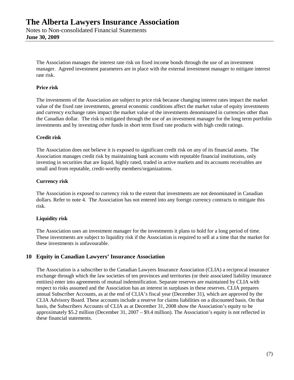The Association manages the interest rate risk on fixed income bonds through the use of an investment manager. Agreed investment parameters are in place with the external investment manager to mitigate interest rate risk.

### **Price risk**

The investments of the Association are subject to price risk because changing interest rates impact the market value of the fixed rate investments, general economic conditions affect the market value of equity investments and currency exchange rates impact the market value of the investments denominated in currencies other than the Canadian dollar. The risk is mitigated through the use of an investment manager for the long term portfolio investments and by investing other funds in short term fixed rate products with high credit ratings.

#### **Credit risk**

The Association does not believe it is exposed to significant credit risk on any of its financial assets. The Association manages credit risk by maintaining bank accounts with reputable financial institutions, only investing in securities that are liquid, highly rated, traded in active markets and its accounts receivables are small and from reputable, credit-worthy members/organizations.

#### **Currency risk**

The Association is exposed to currency risk to the extent that investments are not denominated in Canadian dollars. Refer to note 4. The Association has not entered into any foreign currency contracts to mitigate this risk.

#### **Liquidity risk**

The Association uses an investment manager for the investments it plans to hold for a long period of time. These investments are subject to liquidity risk if the Association is required to sell at a time that the market for these investments is unfavourable.

## **10 Equity in Canadian Lawyers' Insurance Association**

The Association is a subscriber to the Canadian Lawyers Insurance Association (CLIA) a reciprocal insurance exchange through which the law societies of ten provinces and territories (or their associated liability insurance entities) enter into agreements of mutual indemnification. Separate reserves are maintained by CLIA with respect to risks assumed and the Association has an interest in surpluses in these reserves. CLIA prepares annual Subscriber Accounts, as at the end of CLIA's fiscal year (December 31), which are approved by the CLIA Advisory Board. These accounts include a reserve for claims liabilities on a discounted basis. On that basis, the Subscribers Accounts of CLIA as at December 31, 2008 show the Association's equity to be approximately \$5.2 million (December 31, 2007 – \$9.4 million). The Association's equity is not reflected in these financial statements.